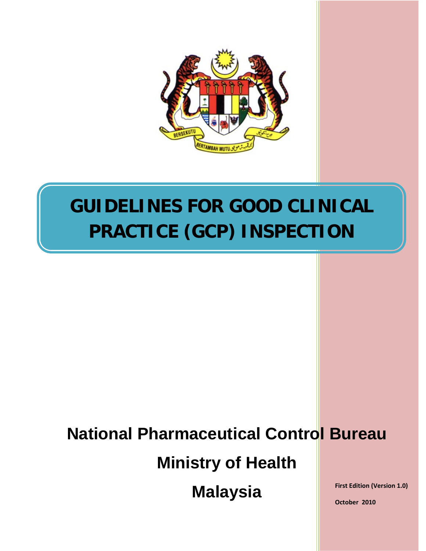

# **GUIDELINES FOR GOOD CLINICAL PRACTICE (GCP) INSPECTION**

# **National Pharmaceutical Control Bureau**

**Ministry of Health**

**Malaysia**

**First Edition (Version 1.0)**

**October 2010**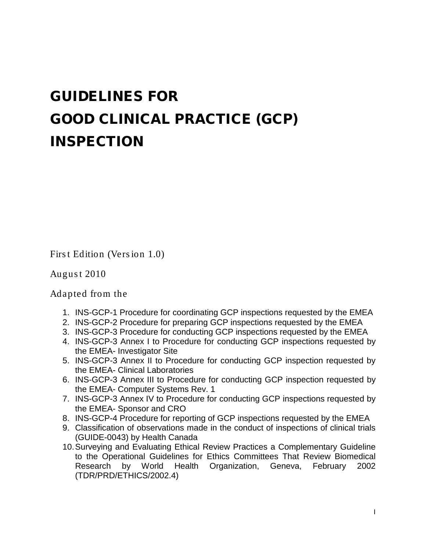# GUIDELINES FOR GOOD CLINICAL PRACTICE (GCP) INSPECTION

Firs t Edition (Vers ion 1.0)

Augus t 2010

Adapted from the

- 1. INS-GCP-1 Procedure for coordinating GCP inspections requested by the EMEA
- 2. INS-GCP-2 Procedure for preparing GCP inspections requested by the EMEA
- 3. INS-GCP-3 Procedure for conducting GCP inspections requested by the EMEA
- 4. INS-GCP-3 Annex I to Procedure for conducting GCP inspections requested by the EMEA- Investigator Site
- 5. INS-GCP-3 Annex II to Procedure for conducting GCP inspection requested by the EMEA- Clinical Laboratories
- 6. INS-GCP-3 Annex III to Procedure for conducting GCP inspection requested by the EMEA- Computer Systems Rev. 1
- 7. INS-GCP-3 Annex IV to Procedure for conducting GCP inspections requested by the EMEA- Sponsor and CRO
- 8. INS-GCP-4 Procedure for reporting of GCP inspections requested by the EMEA
- 9. Classification of observations made in the conduct of inspections of clinical trials (GUIDE-0043) by Health Canada
- 10.Surveying and Evaluating Ethical Review Practices a Complementary Guideline to the Operational Guidelines for Ethics Committees That Review Biomedical Research by World Health Organization, Geneva, February 2002 (TDR/PRD/ETHICS/2002.4)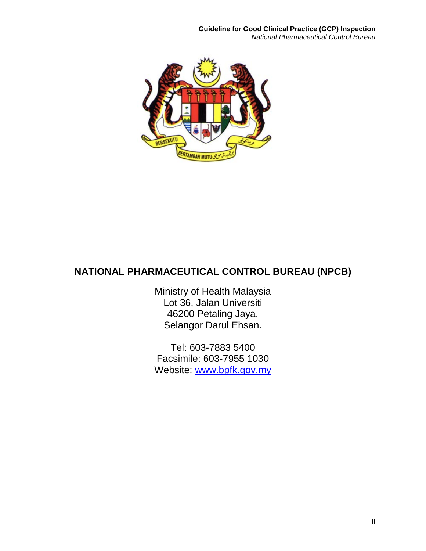

# **NATIONAL PHARMACEUTICAL CONTROL BUREAU (NPCB)**

Ministry of Health Malaysia Lot 36, Jalan Universiti 46200 Petaling Jaya, Selangor Darul Ehsan.

Tel: 603-7883 5400 Facsimile: 603-7955 1030 Website: [www.bpfk.gov.my](http://www.bpfk.gov.my/)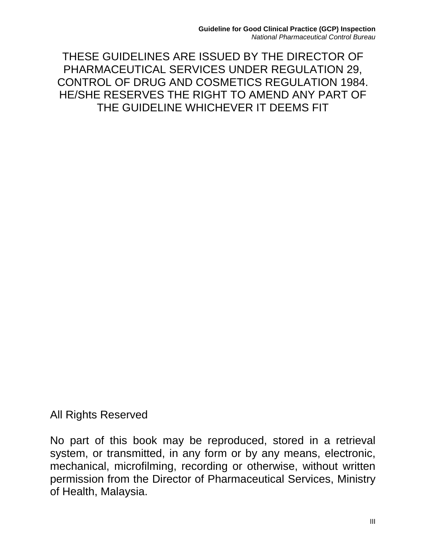THESE GUIDELINES ARE ISSUED BY THE DIRECTOR OF PHARMACEUTICAL SERVICES UNDER REGULATION 29, CONTROL OF DRUG AND COSMETICS REGULATION 1984. HE/SHE RESERVES THE RIGHT TO AMEND ANY PART OF THE GUIDELINE WHICHEVER IT DEEMS FIT

All Rights Reserved

No part of this book may be reproduced, stored in a retrieval system, or transmitted, in any form or by any means, electronic, mechanical, microfilming, recording or otherwise, without written permission from the Director of Pharmaceutical Services, Ministry of Health, Malaysia.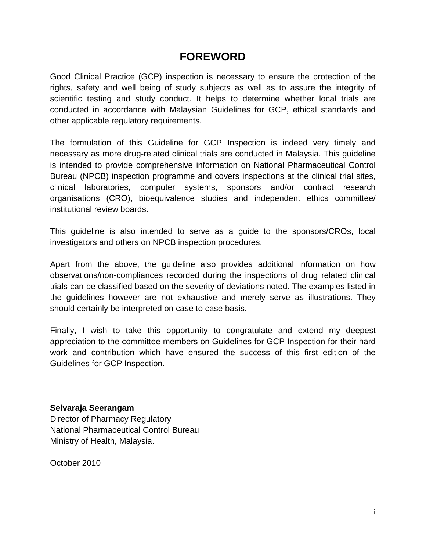# **FOREWORD**

Good Clinical Practice (GCP) inspection is necessary to ensure the protection of the rights, safety and well being of study subjects as well as to assure the integrity of scientific testing and study conduct. It helps to determine whether local trials are conducted in accordance with Malaysian Guidelines for GCP, ethical standards and other applicable regulatory requirements.

The formulation of this Guideline for GCP Inspection is indeed very timely and necessary as more drug-related clinical trials are conducted in Malaysia. This guideline is intended to provide comprehensive information on National Pharmaceutical Control Bureau (NPCB) inspection programme and covers inspections at the clinical trial sites, clinical laboratories, computer systems, sponsors and/or contract research organisations (CRO), bioequivalence studies and independent ethics committee/ institutional review boards.

This guideline is also intended to serve as a guide to the sponsors/CROs, local investigators and others on NPCB inspection procedures.

Apart from the above, the guideline also provides additional information on how observations/non-compliances recorded during the inspections of drug related clinical trials can be classified based on the severity of deviations noted. The examples listed in the guidelines however are not exhaustive and merely serve as illustrations. They should certainly be interpreted on case to case basis.

Finally, I wish to take this opportunity to congratulate and extend my deepest appreciation to the committee members on Guidelines for GCP Inspection for their hard work and contribution which have ensured the success of this first edition of the Guidelines for GCP Inspection.

#### **Selvaraja Seerangam**

Director of Pharmacy Regulatory National Pharmaceutical Control Bureau Ministry of Health, Malaysia.

October 2010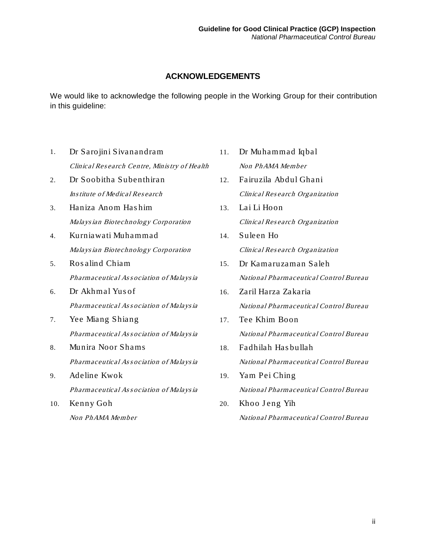#### **ACKNOWLEDGEMENTS**

We would like to acknowledge the following people in the Working Group for their contribution in this guideline:

- 1. Dr Sarojini Sivanandram Clinical Res earch Centre, Minis try of Health
- 2. Dr Soobitha Subenthiran Ins titute of Medical Res earch
- 3. Haniza Anom Has him Malays ian Biotechnology Corporation
- 4. Kurniawati Muhammad Malays ian Biotechnology Corporation
- 5. Ros alind Chiam Pharmaceutical As <sup>s</sup> ociation of Malays ia
- 6. Dr Akhmal Yus of Pharmaceutical As <sup>s</sup> ociation of Malays ia
- 7. Yee Miang Shiang Pharmaceutical As <sup>s</sup> ociation of Malays ia
- 8. Munira Noor Shams Pharmaceutical As <sup>s</sup> ociation of Malays ia
- 9. Adeline Kwok Pharmaceutical As <sup>s</sup> ociation of Malays ia
- 10. Kenny Goh Non PhAMA Member
- 11. Dr Muhammad Iqbal Non PhAMA Member
- 12. Fairuzila Abdul Ghani Clinical Res earch Organization
- 13. Lai Li Hoon Clinical Res earch Organization
- 14. Suleen Ho Clinical Res earch Organization
- 15. Dr Kamaruzaman Saleh National Pharmaceutical Control Bureau
- 16. Zaril Harza Zakaria National Pharmaceutical Control Bureau
- 17. Tee Khim Boon National Pharmaceutical Control Bureau
- 18. Fadhilah Has bullah National Pharmaceutical Control Bureau
- 19. Yam Pei Ching National Pharmaceutical Control Bureau
- 20. Khoo Jeng Yih National Pharmaceutical Control Bureau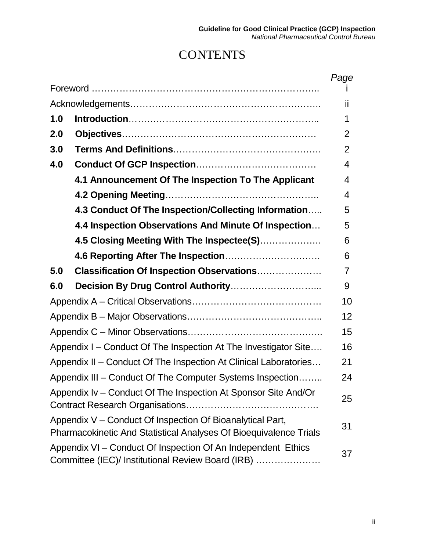# **CONTENTS**

|                                                                                                                                       |                                                      | Page |
|---------------------------------------------------------------------------------------------------------------------------------------|------------------------------------------------------|------|
|                                                                                                                                       |                                                      |      |
|                                                                                                                                       |                                                      | ii   |
| 1.0                                                                                                                                   |                                                      | 1    |
| 2.0                                                                                                                                   |                                                      | 2    |
| 3.0                                                                                                                                   |                                                      | 2    |
| 4.0                                                                                                                                   |                                                      | 4    |
|                                                                                                                                       | 4.1 Announcement Of The Inspection To The Applicant  | 4    |
|                                                                                                                                       |                                                      | 4    |
|                                                                                                                                       | 4.3 Conduct Of The Inspection/Collecting Information | 5    |
|                                                                                                                                       | 4.4 Inspection Observations And Minute Of Inspection | 5    |
|                                                                                                                                       | 4.5 Closing Meeting With The Inspectee(S)            | 6    |
|                                                                                                                                       |                                                      | 6    |
| 5.0                                                                                                                                   | <b>Classification Of Inspection Observations</b>     | 7    |
| 6.0                                                                                                                                   |                                                      | 9    |
|                                                                                                                                       |                                                      | 10   |
|                                                                                                                                       |                                                      | 12   |
|                                                                                                                                       |                                                      | 15   |
| Appendix I - Conduct Of The Inspection At The Investigator Site                                                                       |                                                      | 16   |
| Appendix II – Conduct Of The Inspection At Clinical Laboratories                                                                      |                                                      | 21   |
| Appendix III – Conduct Of The Computer Systems Inspection                                                                             |                                                      | 24   |
| Appendix Iv – Conduct Of The Inspection At Sponsor Site And/Or                                                                        |                                                      | 25   |
| Appendix V – Conduct Of Inspection Of Bioanalytical Part,<br><b>Pharmacokinetic And Statistical Analyses Of Bioequivalence Trials</b> |                                                      | 31   |
| Appendix VI - Conduct Of Inspection Of An Independent Ethics<br>Committee (IEC)/ Institutional Review Board (IRB)                     |                                                      | 37   |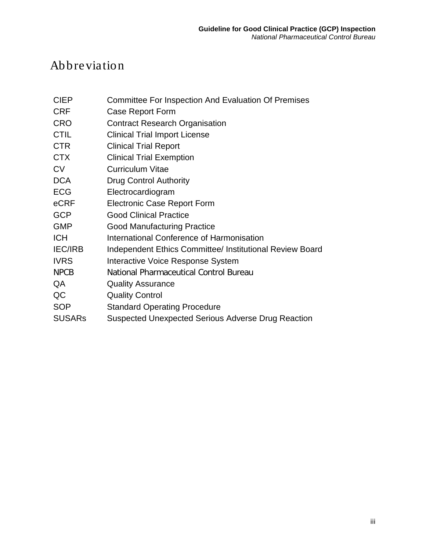# Abbreviation

- CIEP Committee For Inspection And Evaluation Of Premises
- CRF Case Report Form
- CRO Contract Research Organisation
- CTIL Clinical Trial Import License
- CTR Clinical Trial Report
- CTX Clinical Trial Exemption
- CV Curriculum Vitae
- DCA Drug Control Authority
- ECG Electrocardiogram
- eCRF Electronic Case Report Form
- GCP Good Clinical Practice
- GMP Good Manufacturing Practice
- ICH International Conference of Harmonisation
- IEC/IRB Independent Ethics Committee/ Institutional Review Board
- IVRS Interactive Voice Response System
- NPCB National Pharmaceutical Control Bureau
- QA Quality Assurance
- QC Quality Control
- SOP Standard Operating Procedure
- SUSARs Suspected Unexpected Serious Adverse Drug Reaction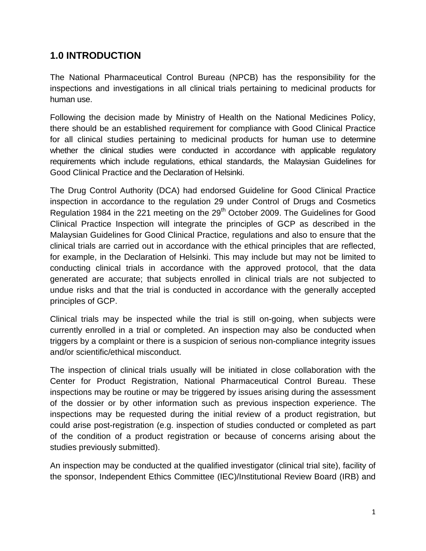# **1.0 INTRODUCTION**

The National Pharmaceutical Control Bureau (NPCB) has the responsibility for the inspections and investigations in all clinical trials pertaining to medicinal products for human use.

Following the decision made by Ministry of Health on the National Medicines Policy, there should be an established requirement for compliance with Good Clinical Practice for all clinical studies pertaining to medicinal products for human use to determine whether the clinical studies were conducted in accordance with applicable regulatory requirements which include regulations, ethical standards, the Malaysian Guidelines for Good Clinical Practice and the Declaration of Helsinki.

The Drug Control Authority (DCA) had endorsed Guideline for Good Clinical Practice inspection in accordance to the regulation 29 under Control of Drugs and Cosmetics Regulation 1984 in the 221 meeting on the 29<sup>th</sup> October 2009. The Guidelines for Good Clinical Practice Inspection will integrate the principles of GCP as described in the Malaysian Guidelines for Good Clinical Practice, regulations and also to ensure that the clinical trials are carried out in accordance with the ethical principles that are reflected, for example, in the Declaration of Helsinki. This may include but may not be limited to conducting clinical trials in accordance with the approved protocol, that the data generated are accurate; that subjects enrolled in clinical trials are not subjected to undue risks and that the trial is conducted in accordance with the generally accepted principles of GCP.

Clinical trials may be inspected while the trial is still on-going, when subjects were currently enrolled in a trial or completed. An inspection may also be conducted when triggers by a complaint or there is a suspicion of serious non-compliance integrity issues and/or scientific/ethical misconduct.

The inspection of clinical trials usually will be initiated in close collaboration with the Center for Product Registration, National Pharmaceutical Control Bureau. These inspections may be routine or may be triggered by issues arising during the assessment of the dossier or by other information such as previous inspection experience. The inspections may be requested during the initial review of a product registration, but could arise post-registration (e.g. inspection of studies conducted or completed as part of the condition of a product registration or because of concerns arising about the studies previously submitted).

An inspection may be conducted at the qualified investigator (clinical trial site), facility of the sponsor, Independent Ethics Committee (IEC)/Institutional Review Board (IRB) and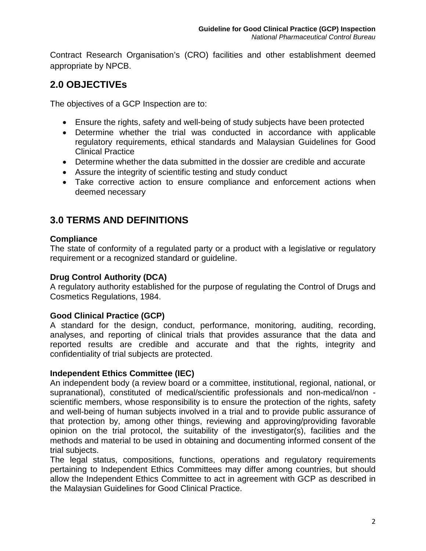Contract Research Organisation's (CRO) facilities and other establishment deemed appropriate by NPCB.

# **2.0 OBJECTIVEs**

The objectives of a GCP Inspection are to:

- Ensure the rights, safety and well-being of study subjects have been protected
- Determine whether the trial was conducted in accordance with applicable regulatory requirements, ethical standards and Malaysian Guidelines for Good Clinical Practice
- Determine whether the data submitted in the dossier are credible and accurate
- Assure the integrity of scientific testing and study conduct
- Take corrective action to ensure compliance and enforcement actions when deemed necessary

# **3.0 TERMS AND DEFINITIONS**

#### **Compliance**

The state of conformity of a regulated party or a product with a legislative or regulatory requirement or a recognized standard or guideline.

#### **Drug Control Authority (DCA)**

A regulatory authority established for the purpose of regulating the Control of Drugs and Cosmetics Regulations, 1984.

#### **Good Clinical Practice (GCP)**

A standard for the design, conduct, performance, monitoring, auditing, recording, analyses, and reporting of clinical trials that provides assurance that the data and reported results are credible and accurate and that the rights, integrity and confidentiality of trial subjects are protected.

#### **Independent Ethics Committee (IEC)**

An independent body (a review board or a committee, institutional, regional, national, or supranational), constituted of medical/scientific professionals and non-medical/non scientific members, whose responsibility is to ensure the protection of the rights, safety and well-being of human subjects involved in a trial and to provide public assurance of that protection by, among other things, reviewing and approving/providing favorable opinion on the trial protocol, the suitability of the investigator(s), facilities and the methods and material to be used in obtaining and documenting informed consent of the trial subjects.

The legal status, compositions, functions, operations and regulatory requirements pertaining to Independent Ethics Committees may differ among countries, but should allow the Independent Ethics Committee to act in agreement with GCP as described in the Malaysian Guidelines for Good Clinical Practice.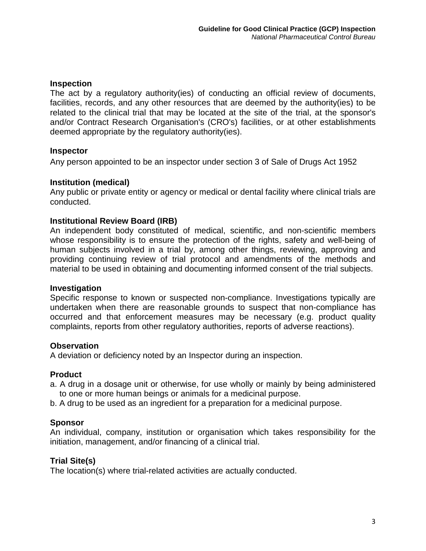#### **Inspection**

The act by a regulatory authority(ies) of conducting an official review of documents, facilities, records, and any other resources that are deemed by the authority(ies) to be related to the clinical trial that may be located at the site of the trial, at the sponsor's and/or Contract Research Organisation's (CRO's) facilities, or at other establishments deemed appropriate by the regulatory authority(ies).

#### **Inspector**

Any person appointed to be an inspector under section 3 of Sale of Drugs Act 1952

#### **Institution (medical)**

Any public or private entity or agency or medical or dental facility where clinical trials are conducted.

#### **Institutional Review Board (IRB)**

An independent body constituted of medical, scientific, and non-scientific members whose responsibility is to ensure the protection of the rights, safety and well-being of human subjects involved in a trial by, among other things, reviewing, approving and providing continuing review of trial protocol and amendments of the methods and material to be used in obtaining and documenting informed consent of the trial subjects.

#### **Investigation**

Specific response to known or suspected non-compliance. Investigations typically are undertaken when there are reasonable grounds to suspect that non-compliance has occurred and that enforcement measures may be necessary (e.g. product quality complaints, reports from other regulatory authorities, reports of adverse reactions).

#### **Observation**

A deviation or deficiency noted by an Inspector during an inspection.

#### **Product**

- a. A drug in a dosage unit or otherwise, for use wholly or mainly by being administered to one or more human beings or animals for a medicinal purpose.
- b. A drug to be used as an ingredient for a preparation for a medicinal purpose.

#### **Sponsor**

An individual, company, institution or organisation which takes responsibility for the initiation, management, and/or financing of a clinical trial.

#### **Trial Site(s)**

The location(s) where trial-related activities are actually conducted.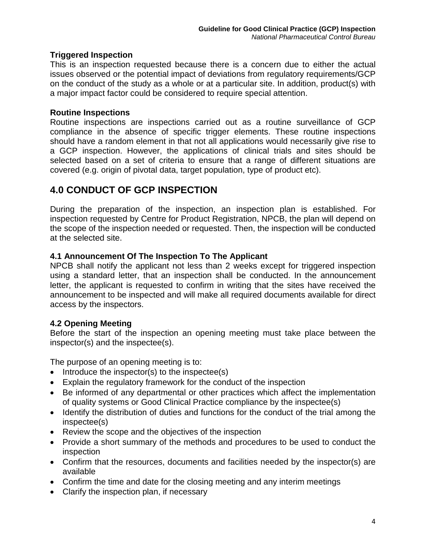#### **Triggered Inspection**

This is an inspection requested because there is a concern due to either the actual issues observed or the potential impact of deviations from regulatory requirements/GCP on the conduct of the study as a whole or at a particular site. In addition, product(s) with a major impact factor could be considered to require special attention.

#### **Routine Inspections**

Routine inspections are inspections carried out as a routine surveillance of GCP compliance in the absence of specific trigger elements. These routine inspections should have a random element in that not all applications would necessarily give rise to a GCP inspection. However, the applications of clinical trials and sites should be selected based on a set of criteria to ensure that a range of different situations are covered (e.g. origin of pivotal data, target population, type of product etc).

# **4.0 CONDUCT OF GCP INSPECTION**

During the preparation of the inspection, an inspection plan is established. For inspection requested by Centre for Product Registration, NPCB, the plan will depend on the scope of the inspection needed or requested. Then, the inspection will be conducted at the selected site.

#### **4.1 Announcement Of The Inspection To The Applicant**

NPCB shall notify the applicant not less than 2 weeks except for triggered inspection using a standard letter, that an inspection shall be conducted. In the announcement letter, the applicant is requested to confirm in writing that the sites have received the announcement to be inspected and will make all required documents available for direct access by the inspectors.

#### **4.2 Opening Meeting**

Before the start of the inspection an opening meeting must take place between the inspector(s) and the inspectee(s).

The purpose of an opening meeting is to:

- Introduce the inspector(s) to the inspectee(s)
- Explain the regulatory framework for the conduct of the inspection
- Be informed of any departmental or other practices which affect the implementation of quality systems or Good Clinical Practice compliance by the inspectee(s)
- Identify the distribution of duties and functions for the conduct of the trial among the inspectee(s)
- Review the scope and the objectives of the inspection
- Provide a short summary of the methods and procedures to be used to conduct the inspection
- Confirm that the resources, documents and facilities needed by the inspector(s) are available
- Confirm the time and date for the closing meeting and any interim meetings
- Clarify the inspection plan, if necessary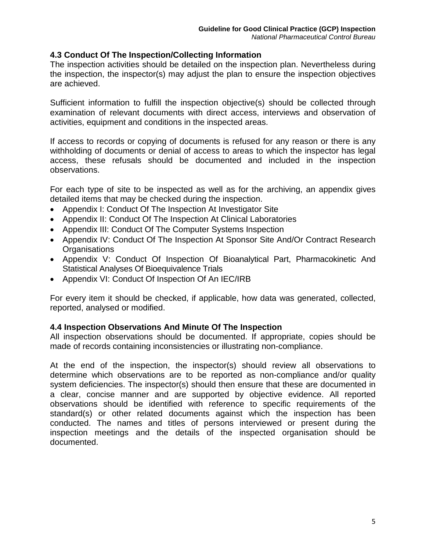#### **4.3 Conduct Of The Inspection/Collecting Information**

The inspection activities should be detailed on the inspection plan. Nevertheless during the inspection, the inspector(s) may adjust the plan to ensure the inspection objectives are achieved.

Sufficient information to fulfill the inspection objective(s) should be collected through examination of relevant documents with direct access, interviews and observation of activities, equipment and conditions in the inspected areas.

If access to records or copying of documents is refused for any reason or there is any withholding of documents or denial of access to areas to which the inspector has legal access, these refusals should be documented and included in the inspection observations.

For each type of site to be inspected as well as for the archiving, an appendix gives detailed items that may be checked during the inspection.

- Appendix I: Conduct Of The Inspection At Investigator Site
- Appendix II: Conduct Of The Inspection At Clinical Laboratories
- Appendix III: Conduct Of The Computer Systems Inspection
- Appendix IV: Conduct Of The Inspection At Sponsor Site And/Or Contract Research **Organisations**
- Appendix V: Conduct Of Inspection Of Bioanalytical Part, Pharmacokinetic And Statistical Analyses Of Bioequivalence Trials
- Appendix VI: Conduct Of Inspection Of An IEC/IRB

For every item it should be checked, if applicable, how data was generated, collected, reported, analysed or modified.

#### **4.4 Inspection Observations And Minute Of The Inspection**

All inspection observations should be documented. If appropriate, copies should be made of records containing inconsistencies or illustrating non-compliance.

At the end of the inspection, the inspector(s) should review all observations to determine which observations are to be reported as non-compliance and/or quality system deficiencies. The inspector(s) should then ensure that these are documented in a clear, concise manner and are supported by objective evidence. All reported observations should be identified with reference to specific requirements of the standard(s) or other related documents against which the inspection has been conducted. The names and titles of persons interviewed or present during the inspection meetings and the details of the inspected organisation should be documented.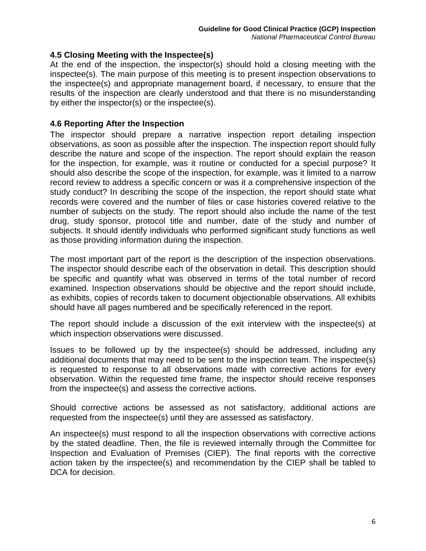#### **4.5 Closing Meeting with the Inspectee(s)**

At the end of the inspection, the inspector(s) should hold a closing meeting with the inspectee(s). The main purpose of this meeting is to present inspection observations to the inspectee(s) and appropriate management board, if necessary, to ensure that the results of the inspection are clearly understood and that there is no misunderstanding by either the inspector(s) or the inspectee(s).

#### **4.6 Reporting After the Inspection**

The inspector should prepare a narrative inspection report detailing inspection observations, as soon as possible after the inspection. The inspection report should fully describe the nature and scope of the inspection. The report should explain the reason for the inspection, for example, was it routine or conducted for a special purpose? It should also describe the scope of the inspection, for example, was it limited to a narrow record review to address a specific concern or was it a comprehensive inspection of the study conduct? In describing the scope of the inspection, the report should state what records were covered and the number of files or case histories covered relative to the number of subjects on the study. The report should also include the name of the test drug, study sponsor, protocol title and number, date of the study and number of subjects. It should identify individuals who performed significant study functions as well as those providing information during the inspection.

The most important part of the report is the description of the inspection observations. The inspector should describe each of the observation in detail. This description should be specific and quantify what was observed in terms of the total number of record examined. Inspection observations should be objective and the report should include, as exhibits, copies of records taken to document objectionable observations. All exhibits should have all pages numbered and be specifically referenced in the report.

The report should include a discussion of the exit interview with the inspectee(s) at which inspection observations were discussed.

Issues to be followed up by the inspectee(s) should be addressed, including any additional documents that may need to be sent to the inspection team. The inspectee(s) is requested to response to all observations made with corrective actions for every observation. Within the requested time frame, the inspector should receive responses from the inspectee(s) and assess the corrective actions.

Should corrective actions be assessed as not satisfactory, additional actions are requested from the inspectee(s) until they are assessed as satisfactory.

An inspectee(s) must respond to all the inspection observations with corrective actions by the stated deadline. Then, the file is reviewed internally through the Committee for Inspection and Evaluation of Premises (CIEP). The final reports with the corrective action taken by the inspectee(s) and recommendation by the CIEP shall be tabled to DCA for decision.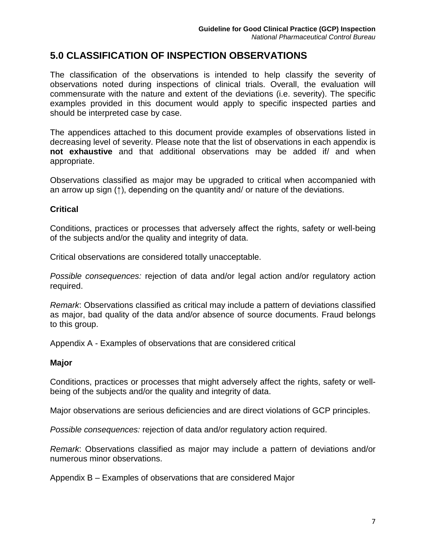# **5.0 CLASSIFICATION OF INSPECTION OBSERVATIONS**

The classification of the observations is intended to help classify the severity of observations noted during inspections of clinical trials. Overall, the evaluation will commensurate with the nature and extent of the deviations (i.e. severity). The specific examples provided in this document would apply to specific inspected parties and should be interpreted case by case.

The appendices attached to this document provide examples of observations listed in decreasing level of severity. Please note that the list of observations in each appendix is **not exhaustive** and that additional observations may be added if/ and when appropriate.

Observations classified as major may be upgraded to critical when accompanied with an arrow up sign (↑), depending on the quantity and/ or nature of the deviations.

#### **Critical**

Conditions, practices or processes that adversely affect the rights, safety or well-being of the subjects and/or the quality and integrity of data.

Critical observations are considered totally unacceptable.

*Possible consequences:* rejection of data and/or legal action and/or regulatory action required.

*Remark*: Observations classified as critical may include a pattern of deviations classified as major, bad quality of the data and/or absence of source documents. Fraud belongs to this group.

Appendix A - Examples of observations that are considered critical

#### **Major**

Conditions, practices or processes that might adversely affect the rights, safety or wellbeing of the subjects and/or the quality and integrity of data.

Major observations are serious deficiencies and are direct violations of GCP principles.

*Possible consequences:* rejection of data and/or regulatory action required.

*Remark*: Observations classified as major may include a pattern of deviations and/or numerous minor observations.

Appendix B – Examples of observations that are considered Major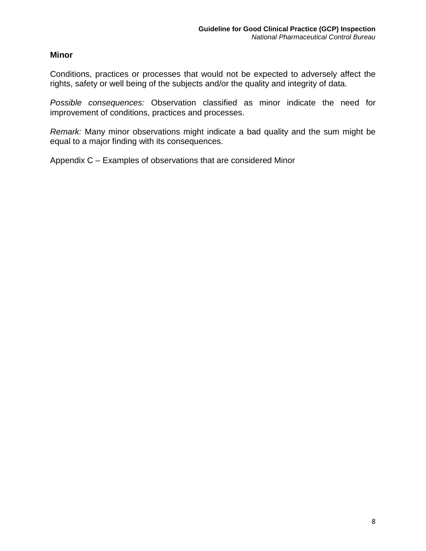#### **Minor**

Conditions, practices or processes that would not be expected to adversely affect the rights, safety or well being of the subjects and/or the quality and integrity of data.

*Possible consequences:* Observation classified as minor indicate the need for improvement of conditions, practices and processes.

*Remark:* Many minor observations might indicate a bad quality and the sum might be equal to a major finding with its consequences.

Appendix C – Examples of observations that are considered Minor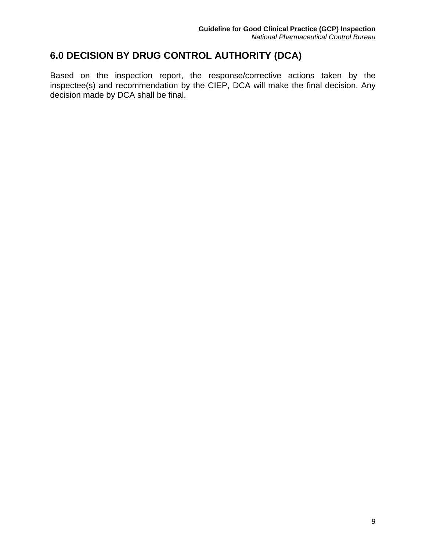# **6.0 DECISION BY DRUG CONTROL AUTHORITY (DCA)**

Based on the inspection report, the response/corrective actions taken by the inspectee(s) and recommendation by the CIEP, DCA will make the final decision. Any decision made by DCA shall be final.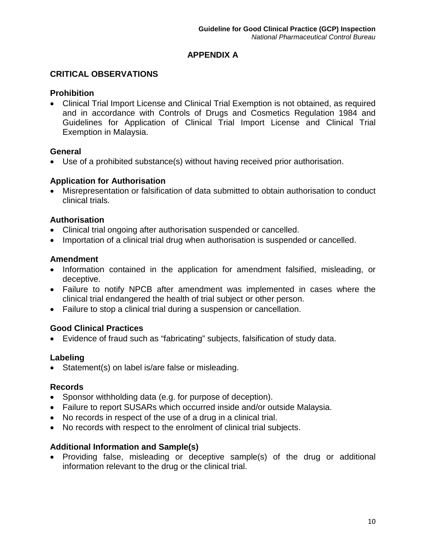# **APPENDIX A**

# **CRITICAL OBSERVATIONS**

# **Prohibition**

• Clinical Trial Import License and Clinical Trial Exemption is not obtained, as required and in accordance with Controls of Drugs and Cosmetics Regulation 1984 and Guidelines for Application of Clinical Trial Import License and Clinical Trial Exemption in Malaysia.

# **General**

• Use of a prohibited substance(s) without having received prior authorisation.

# **Application for Authorisation**

• Misrepresentation or falsification of data submitted to obtain authorisation to conduct clinical trials.

# **Authorisation**

- Clinical trial ongoing after authorisation suspended or cancelled.
- Importation of a clinical trial drug when authorisation is suspended or cancelled.

# **Amendment**

- Information contained in the application for amendment falsified, misleading, or deceptive.
- Failure to notify NPCB after amendment was implemented in cases where the clinical trial endangered the health of trial subject or other person.
- Failure to stop a clinical trial during a suspension or cancellation.

# **Good Clinical Practices**

• Evidence of fraud such as "fabricating" subjects, falsification of study data.

#### **Labeling**

• Statement(s) on label is/are false or misleading.

# **Records**

- Sponsor withholding data (e.g. for purpose of deception).
- Failure to report SUSARs which occurred inside and/or outside Malaysia.
- No records in respect of the use of a drug in a clinical trial.
- No records with respect to the enrolment of clinical trial subjects.

# **Additional Information and Sample(s)**

• Providing false, misleading or deceptive sample(s) of the drug or additional information relevant to the drug or the clinical trial.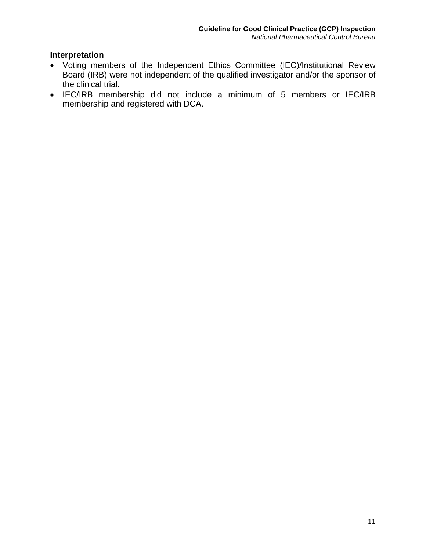# **Interpretation**

- Voting members of the Independent Ethics Committee (IEC)/Institutional Review Board (IRB) were not independent of the qualified investigator and/or the sponsor of the clinical trial.
- IEC/IRB membership did not include a minimum of 5 members or IEC/IRB membership and registered with DCA.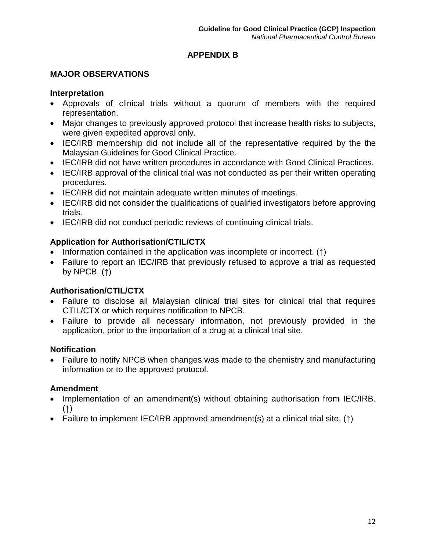# **APPENDIX B**

# **MAJOR OBSERVATIONS**

#### **Interpretation**

- Approvals of clinical trials without a quorum of members with the required representation.
- Major changes to previously approved protocol that increase health risks to subjects, were given expedited approval only.
- IEC/IRB membership did not include all of the representative required by the the Malaysian Guidelines for Good Clinical Practice.
- IEC/IRB did not have written procedures in accordance with Good Clinical Practices.
- IEC/IRB approval of the clinical trial was not conducted as per their written operating procedures.
- IEC/IRB did not maintain adequate written minutes of meetings.
- IEC/IRB did not consider the qualifications of qualified investigators before approving trials.
- IEC/IRB did not conduct periodic reviews of continuing clinical trials.

# **Application for Authorisation/CTIL/CTX**

- Information contained in the application was incomplete or incorrect. (↑)
- Failure to report an IEC/IRB that previously refused to approve a trial as requested by NPCB.  $(†)$

# **Authorisation/CTIL/CTX**

- Failure to disclose all Malaysian clinical trial sites for clinical trial that requires CTIL/CTX or which requires notification to NPCB.
- Failure to provide all necessary information, not previously provided in the application, prior to the importation of a drug at a clinical trial site.

# **Notification**

• Failure to notify NPCB when changes was made to the chemistry and manufacturing information or to the approved protocol.

# **Amendment**

- Implementation of an amendment(s) without obtaining authorisation from IEC/IRB. (↑)
- Failure to implement IEC/IRB approved amendment(s) at a clinical trial site. (↑)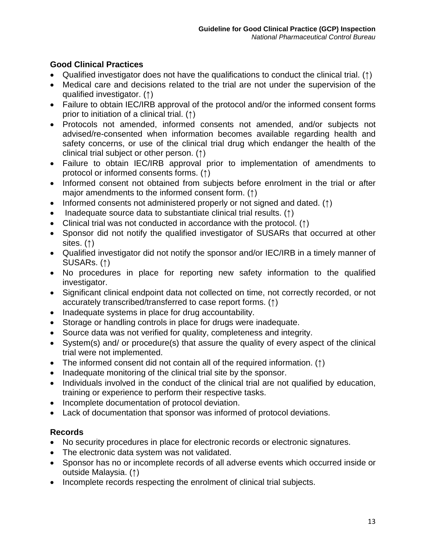# **Good Clinical Practices**

- Qualified investigator does not have the qualifications to conduct the clinical trial. (↑)
- Medical care and decisions related to the trial are not under the supervision of the qualified investigator. (↑)
- Failure to obtain IEC/IRB approval of the protocol and/or the informed consent forms prior to initiation of a clinical trial. (↑)
- Protocols not amended, informed consents not amended, and/or subjects not advised/re-consented when information becomes available regarding health and safety concerns, or use of the clinical trial drug which endanger the health of the clinical trial subject or other person. (↑)
- Failure to obtain IEC/IRB approval prior to implementation of amendments to protocol or informed consents forms. (↑)
- Informed consent not obtained from subjects before enrolment in the trial or after major amendments to the informed consent form. (↑)
- Informed consents not administered properly or not signed and dated. (↑)
- Inadequate source data to substantiate clinical trial results. (↑)
- Clinical trial was not conducted in accordance with the protocol. (↑)
- Sponsor did not notify the qualified investigator of SUSARs that occurred at other sites. (↑)
- Qualified investigator did not notify the sponsor and/or IEC/IRB in a timely manner of SUSARs. (↑)
- No procedures in place for reporting new safety information to the qualified investigator.
- Significant clinical endpoint data not collected on time, not correctly recorded, or not accurately transcribed/transferred to case report forms. (↑)
- Inadequate systems in place for drug accountability.
- Storage or handling controls in place for drugs were inadequate.
- Source data was not verified for quality, completeness and integrity.
- System(s) and/ or procedure(s) that assure the quality of every aspect of the clinical trial were not implemented.
- The informed consent did not contain all of the required information. (1)
- Inadequate monitoring of the clinical trial site by the sponsor.
- Individuals involved in the conduct of the clinical trial are not qualified by education, training or experience to perform their respective tasks.
- Incomplete documentation of protocol deviation.
- Lack of documentation that sponsor was informed of protocol deviations.

# **Records**

- No security procedures in place for electronic records or electronic signatures.
- The electronic data system was not validated.
- Sponsor has no or incomplete records of all adverse events which occurred inside or outside Malaysia. (↑)
- Incomplete records respecting the enrolment of clinical trial subjects.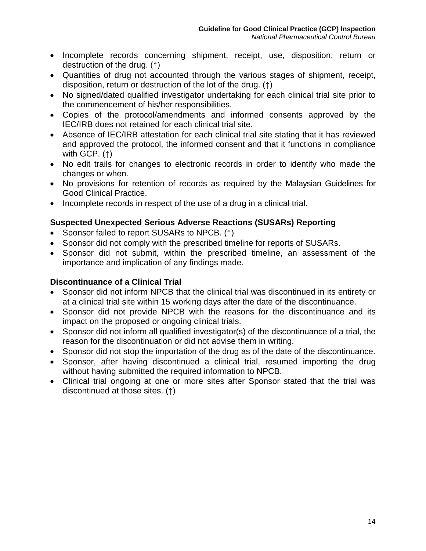- Incomplete records concerning shipment, receipt, use, disposition, return or destruction of the drug. (↑)
- Quantities of drug not accounted through the various stages of shipment, receipt, disposition, return or destruction of the lot of the drug. (↑)
- No signed/dated qualified investigator undertaking for each clinical trial site prior to the commencement of his/her responsibilities.
- Copies of the protocol/amendments and informed consents approved by the IEC/IRB does not retained for each clinical trial site.
- Absence of IEC/IRB attestation for each clinical trial site stating that it has reviewed and approved the protocol, the informed consent and that it functions in compliance with GCP. (↑)
- No edit trails for changes to electronic records in order to identify who made the changes or when.
- No provisions for retention of records as required by the Malaysian Guidelines for Good Clinical Practice.
- Incomplete records in respect of the use of a drug in a clinical trial.

# **Suspected Unexpected Serious Adverse Reactions (SUSARs) Reporting**

- Sponsor failed to report SUSARs to NPCB. (↑)
- Sponsor did not comply with the prescribed timeline for reports of SUSARs.
- Sponsor did not submit, within the prescribed timeline, an assessment of the importance and implication of any findings made.

#### **Discontinuance of a Clinical Trial**

- Sponsor did not inform NPCB that the clinical trial was discontinued in its entirety or at a clinical trial site within 15 working days after the date of the discontinuance.
- Sponsor did not provide NPCB with the reasons for the discontinuance and its impact on the proposed or ongoing clinical trials.
- Sponsor did not inform all qualified investigator(s) of the discontinuance of a trial, the reason for the discontinuation or did not advise them in writing.
- Sponsor did not stop the importation of the drug as of the date of the discontinuance.
- Sponsor, after having discontinued a clinical trial, resumed importing the drug without having submitted the required information to NPCB.
- Clinical trial ongoing at one or more sites after Sponsor stated that the trial was discontinued at those sites. (↑)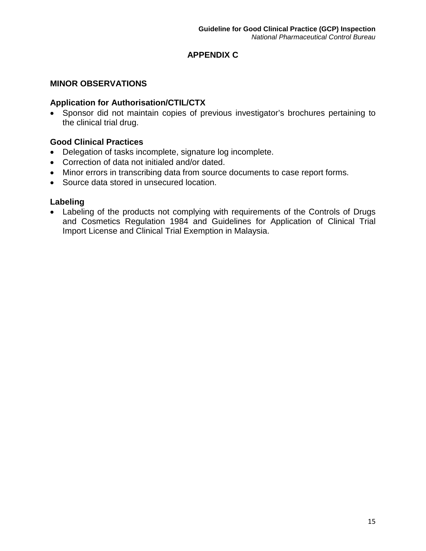# **APPENDIX C**

# **MINOR OBSERVATIONS**

#### **Application for Authorisation/CTIL/CTX**

• Sponsor did not maintain copies of previous investigator's brochures pertaining to the clinical trial drug.

# **Good Clinical Practices**

- Delegation of tasks incomplete, signature log incomplete.
- Correction of data not initialed and/or dated.
- Minor errors in transcribing data from source documents to case report forms.
- Source data stored in unsecured location.

# **Labeling**

• Labeling of the products not complying with requirements of the Controls of Drugs and Cosmetics Regulation 1984 and Guidelines for Application of Clinical Trial Import License and Clinical Trial Exemption in Malaysia.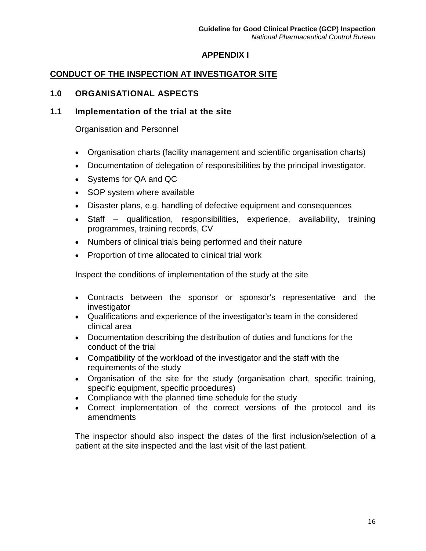# **APPENDIX I**

# **CONDUCT OF THE INSPECTION AT INVESTIGATOR SITE**

# **1.0 ORGANISATIONAL ASPECTS**

# **1.1 Implementation of the trial at the site**

Organisation and Personnel

- Organisation charts (facility management and scientific organisation charts)
- Documentation of delegation of responsibilities by the principal investigator.
- Systems for QA and QC
- SOP system where available
- Disaster plans, e.g. handling of defective equipment and consequences
- Staff qualification, responsibilities, experience, availability, training programmes, training records, CV
- Numbers of clinical trials being performed and their nature
- Proportion of time allocated to clinical trial work

Inspect the conditions of implementation of the study at the site

- Contracts between the sponsor or sponsor's representative and the investigator
- Qualifications and experience of the investigator's team in the considered clinical area
- Documentation describing the distribution of duties and functions for the conduct of the trial
- Compatibility of the workload of the investigator and the staff with the requirements of the study
- Organisation of the site for the study (organisation chart, specific training, specific equipment, specific procedures)
- Compliance with the planned time schedule for the study
- Correct implementation of the correct versions of the protocol and its amendments

The inspector should also inspect the dates of the first inclusion/selection of a patient at the site inspected and the last visit of the last patient.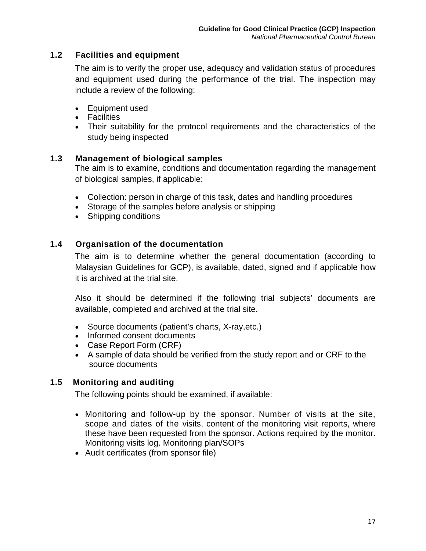# **1.2 Facilities and equipment**

The aim is to verify the proper use, adequacy and validation status of procedures and equipment used during the performance of the trial. The inspection may include a review of the following:

- Equipment used
- Facilities
- Their suitability for the protocol requirements and the characteristics of the study being inspected

#### **1.3 Management of biological samples**

The aim is to examine, conditions and documentation regarding the management of biological samples, if applicable:

- Collection: person in charge of this task, dates and handling procedures
- Storage of the samples before analysis or shipping
- Shipping conditions

# **1.4 Organisation of the documentation**

The aim is to determine whether the general documentation (according to Malaysian Guidelines for GCP), is available, dated, signed and if applicable how it is archived at the trial site.

Also it should be determined if the following trial subjects' documents are available, completed and archived at the trial site.

- Source documents (patient's charts, X-ray, etc.)
- Informed consent documents
- Case Report Form (CRF)
- A sample of data should be verified from the study report and or CRF to the source documents

# **1.5 Monitoring and auditing**

The following points should be examined, if available:

- Monitoring and follow-up by the sponsor. Number of visits at the site, scope and dates of the visits, content of the monitoring visit reports, where these have been requested from the sponsor. Actions required by the monitor. Monitoring visits log. Monitoring plan/SOPs
- Audit certificates (from sponsor file)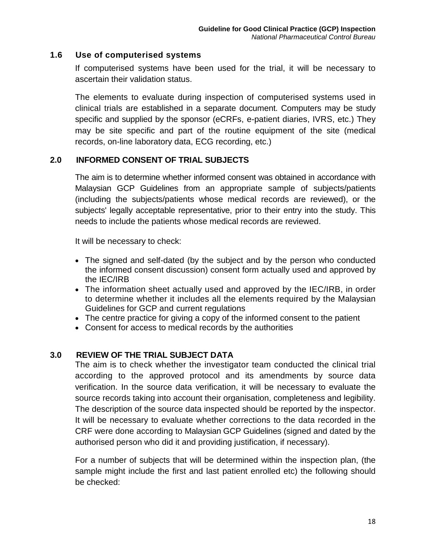#### **1.6 Use of computerised systems**

If computerised systems have been used for the trial, it will be necessary to ascertain their validation status.

The elements to evaluate during inspection of computerised systems used in clinical trials are established in a separate document. Computers may be study specific and supplied by the sponsor (eCRFs, e-patient diaries, IVRS, etc.) They may be site specific and part of the routine equipment of the site (medical records, on-line laboratory data, ECG recording, etc.)

#### **2.0 INFORMED CONSENT OF TRIAL SUBJECTS**

The aim is to determine whether informed consent was obtained in accordance with Malaysian GCP Guidelines from an appropriate sample of subjects/patients (including the subjects/patients whose medical records are reviewed), or the subjects' legally acceptable representative, prior to their entry into the study. This needs to include the patients whose medical records are reviewed.

It will be necessary to check:

- The signed and self-dated (by the subject and by the person who conducted the informed consent discussion) consent form actually used and approved by the IEC/IRB
- The information sheet actually used and approved by the IEC/IRB, in order to determine whether it includes all the elements required by the Malaysian Guidelines for GCP and current regulations
- The centre practice for giving a copy of the informed consent to the patient
- Consent for access to medical records by the authorities

#### **3.0 REVIEW OF THE TRIAL SUBJECT DATA**

The aim is to check whether the investigator team conducted the clinical trial according to the approved protocol and its amendments by source data verification. In the source data verification, it will be necessary to evaluate the source records taking into account their organisation, completeness and legibility. The description of the source data inspected should be reported by the inspector. It will be necessary to evaluate whether corrections to the data recorded in the CRF were done according to Malaysian GCP Guidelines (signed and dated by the authorised person who did it and providing justification, if necessary).

For a number of subjects that will be determined within the inspection plan, (the sample might include the first and last patient enrolled etc) the following should be checked: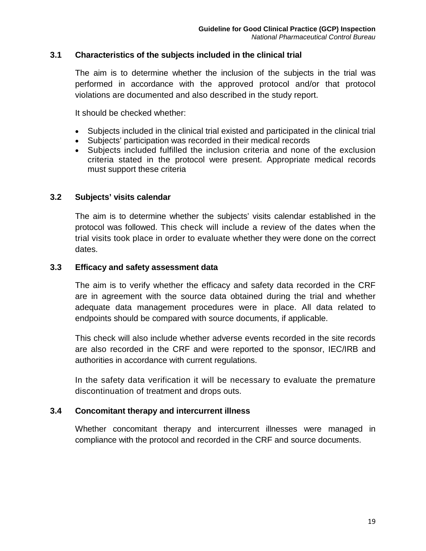#### **3.1 Characteristics of the subjects included in the clinical trial**

The aim is to determine whether the inclusion of the subjects in the trial was performed in accordance with the approved protocol and/or that protocol violations are documented and also described in the study report.

It should be checked whether:

- Subjects included in the clinical trial existed and participated in the clinical trial
- Subjects' participation was recorded in their medical records
- Subjects included fulfilled the inclusion criteria and none of the exclusion criteria stated in the protocol were present. Appropriate medical records must support these criteria

#### **3.2 Subjects' visits calendar**

The aim is to determine whether the subjects' visits calendar established in the protocol was followed. This check will include a review of the dates when the trial visits took place in order to evaluate whether they were done on the correct dates.

#### **3.3 Efficacy and safety assessment data**

The aim is to verify whether the efficacy and safety data recorded in the CRF are in agreement with the source data obtained during the trial and whether adequate data management procedures were in place. All data related to endpoints should be compared with source documents, if applicable.

This check will also include whether adverse events recorded in the site records are also recorded in the CRF and were reported to the sponsor, IEC/IRB and authorities in accordance with current regulations.

In the safety data verification it will be necessary to evaluate the premature discontinuation of treatment and drops outs.

#### **3.4 Concomitant therapy and intercurrent illness**

Whether concomitant therapy and intercurrent illnesses were managed in compliance with the protocol and recorded in the CRF and source documents.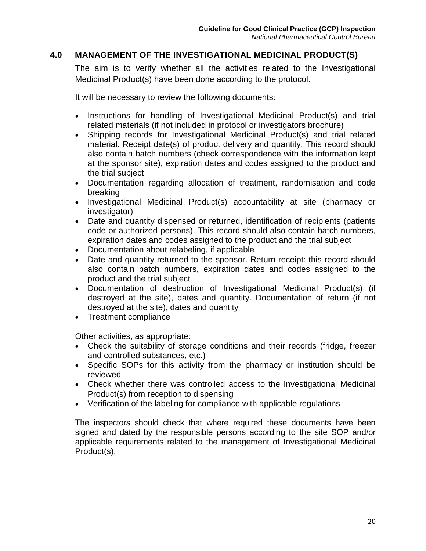# **4.0 MANAGEMENT OF THE INVESTIGATIONAL MEDICINAL PRODUCT(S)**

The aim is to verify whether all the activities related to the Investigational Medicinal Product(s) have been done according to the protocol.

It will be necessary to review the following documents:

- Instructions for handling of Investigational Medicinal Product(s) and trial related materials (if not included in protocol or investigators brochure)
- Shipping records for Investigational Medicinal Product(s) and trial related material. Receipt date(s) of product delivery and quantity. This record should also contain batch numbers (check correspondence with the information kept at the sponsor site), expiration dates and codes assigned to the product and the trial subject
- Documentation regarding allocation of treatment, randomisation and code breaking
- Investigational Medicinal Product(s) accountability at site (pharmacy or investigator)
- Date and quantity dispensed or returned, identification of recipients (patients code or authorized persons). This record should also contain batch numbers, expiration dates and codes assigned to the product and the trial subject
- Documentation about relabeling, if applicable
- Date and quantity returned to the sponsor. Return receipt: this record should also contain batch numbers, expiration dates and codes assigned to the product and the trial subject
- Documentation of destruction of Investigational Medicinal Product(s) (if destroyed at the site), dates and quantity. Documentation of return (if not destroyed at the site), dates and quantity
- Treatment compliance

Other activities, as appropriate:

- Check the suitability of storage conditions and their records (fridge, freezer and controlled substances, etc.)
- Specific SOPs for this activity from the pharmacy or institution should be reviewed
- Check whether there was controlled access to the Investigational Medicinal Product(s) from reception to dispensing
- Verification of the labeling for compliance with applicable regulations

The inspectors should check that where required these documents have been signed and dated by the responsible persons according to the site SOP and/or applicable requirements related to the management of Investigational Medicinal Product(s).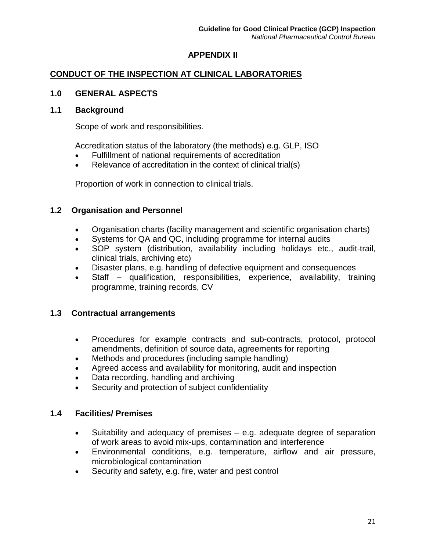# **APPENDIX II**

# **CONDUCT OF THE INSPECTION AT CLINICAL LABORATORIES**

# **1.0 GENERAL ASPECTS**

#### **1.1 Background**

Scope of work and responsibilities.

Accreditation status of the laboratory (the methods) e.g. GLP, ISO

- Fulfillment of national requirements of accreditation
- Relevance of accreditation in the context of clinical trial(s)

Proportion of work in connection to clinical trials.

#### **1.2 Organisation and Personnel**

- Organisation charts (facility management and scientific organisation charts)
- Systems for QA and QC, including programme for internal audits
- SOP system (distribution, availability including holidays etc., audit-trail, clinical trials, archiving etc)
- Disaster plans, e.g. handling of defective equipment and consequences
- Staff qualification, responsibilities, experience, availability, training programme, training records, CV

#### **1.3 Contractual arrangements**

- Procedures for example contracts and sub-contracts, protocol, protocol amendments, definition of source data, agreements for reporting
- Methods and procedures (including sample handling)
- Agreed access and availability for monitoring, audit and inspection
- Data recording, handling and archiving
- Security and protection of subject confidentiality

#### **1.4 Facilities/ Premises**

- Suitability and adequacy of premises e.g. adequate degree of separation of work areas to avoid mix-ups, contamination and interference
- Environmental conditions, e.g. temperature, airflow and air pressure, microbiological contamination
- Security and safety, e.g. fire, water and pest control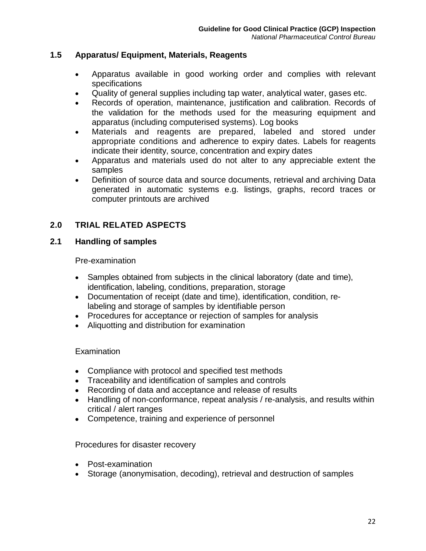#### **1.5 Apparatus/ Equipment, Materials, Reagents**

- Apparatus available in good working order and complies with relevant specifications
- Quality of general supplies including tap water, analytical water, gases etc.
- Records of operation, maintenance, justification and calibration. Records of the validation for the methods used for the measuring equipment and apparatus (including computerised systems). Log books
- Materials and reagents are prepared, labeled and stored under appropriate conditions and adherence to expiry dates. Labels for reagents indicate their identity, source, concentration and expiry dates
- Apparatus and materials used do not alter to any appreciable extent the samples
- Definition of source data and source documents, retrieval and archiving Data generated in automatic systems e.g. listings, graphs, record traces or computer printouts are archived

# **2.0 TRIAL RELATED ASPECTS**

#### **2.1 Handling of samples**

#### Pre-examination

- Samples obtained from subjects in the clinical laboratory (date and time), identification, labeling, conditions, preparation, storage
- Documentation of receipt (date and time), identification, condition, relabeling and storage of samples by identifiable person
- Procedures for acceptance or rejection of samples for analysis
- Aliquotting and distribution for examination

#### **Examination**

- Compliance with protocol and specified test methods
- Traceability and identification of samples and controls
- Recording of data and acceptance and release of results
- Handling of non-conformance, repeat analysis / re-analysis, and results within critical / alert ranges
- Competence, training and experience of personnel

Procedures for disaster recovery

- Post-examination
- Storage (anonymisation, decoding), retrieval and destruction of samples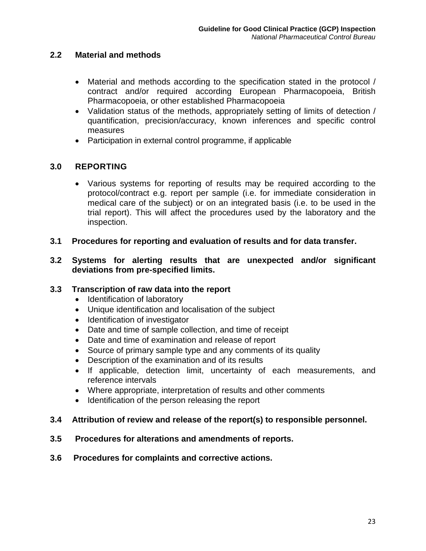# **2.2 Material and methods**

- Material and methods according to the specification stated in the protocol / contract and/or required according European Pharmacopoeia, British Pharmacopoeia, or other established Pharmacopoeia
- Validation status of the methods, appropriately setting of limits of detection / quantification, precision/accuracy, known inferences and specific control measures
- Participation in external control programme, if applicable

# **3.0 REPORTING**

- Various systems for reporting of results may be required according to the protocol/contract e.g. report per sample (i.e. for immediate consideration in medical care of the subject) or on an integrated basis (i.e. to be used in the trial report). This will affect the procedures used by the laboratory and the inspection.
- **3.1 Procedures for reporting and evaluation of results and for data transfer.**

#### **3.2 Systems for alerting results that are unexpected and/or significant deviations from pre-specified limits.**

#### **3.3 Transcription of raw data into the report**

- Identification of laboratory
- Unique identification and localisation of the subject
- Identification of investigator
- Date and time of sample collection, and time of receipt
- Date and time of examination and release of report
- Source of primary sample type and any comments of its quality
- Description of the examination and of its results
- If applicable, detection limit, uncertainty of each measurements, and reference intervals
- Where appropriate, interpretation of results and other comments
- Identification of the person releasing the report

#### **3.4 Attribution of review and release of the report(s) to responsible personnel.**

- **3.5 Procedures for alterations and amendments of reports.**
- **3.6 Procedures for complaints and corrective actions.**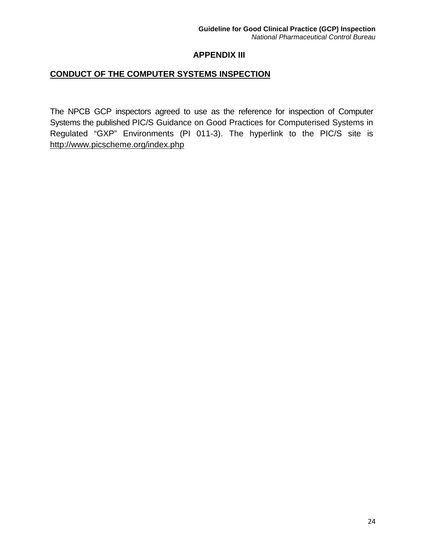#### **APPENDIX III**

# **CONDUCT OF THE COMPUTER SYSTEMS INSPECTION**

The NPCB GCP inspectors agreed to use as the reference for inspection of Computer Systems the published PIC/S Guidance on Good Practices for Computerised Systems in Regulated "GXP" Environments (PI 011-3). The hyperlink to the PIC/S site is <http://www.picscheme.org/index.php>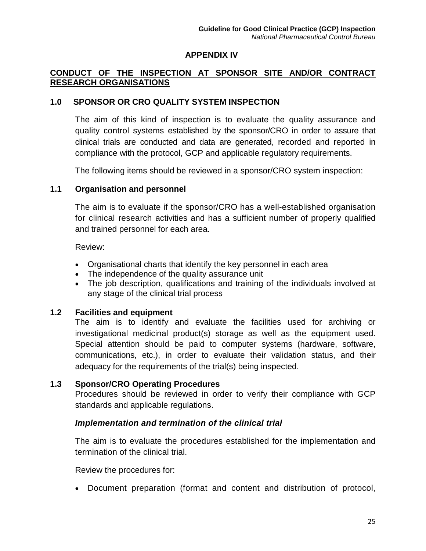#### **APPENDIX IV**

# **CONDUCT OF THE INSPECTION AT SPONSOR SITE AND/OR CONTRACT RESEARCH ORGANISATIONS**

#### **1.0 SPONSOR OR CRO QUALITY SYSTEM INSPECTION**

The aim of this kind of inspection is to evaluate the quality assurance and quality control systems established by the sponsor/CRO in order to assure that clinical trials are conducted and data are generated, recorded and reported in compliance with the protocol, GCP and applicable regulatory requirements.

The following items should be reviewed in a sponsor/CRO system inspection:

#### **1.1 Organisation and personnel**

The aim is to evaluate if the sponsor/CRO has a well-established organisation for clinical research activities and has a sufficient number of properly qualified and trained personnel for each area.

Review:

- Organisational charts that identify the key personnel in each area
- The independence of the quality assurance unit
- The job description, qualifications and training of the individuals involved at any stage of the clinical trial process

#### **1.2 Facilities and equipment**

The aim is to identify and evaluate the facilities used for archiving or investigational medicinal product(s) storage as well as the equipment used. Special attention should be paid to computer systems (hardware, software, communications, etc.), in order to evaluate their validation status, and their adequacy for the requirements of the trial(s) being inspected.

#### **1.3 Sponsor/CRO Operating Procedures**

Procedures should be reviewed in order to verify their compliance with GCP standards and applicable regulations.

#### *Implementation and termination of the clinical trial*

The aim is to evaluate the procedures established for the implementation and termination of the clinical trial.

Review the procedures for:

• Document preparation (format and content and distribution of protocol,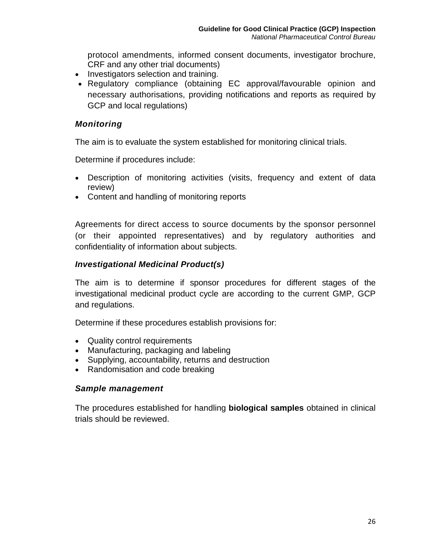protocol amendments, informed consent documents, investigator brochure, CRF and any other trial documents)

- Investigators selection and training.
- Regulatory compliance (obtaining EC approval/favourable opinion and necessary authorisations, providing notifications and reports as required by GCP and local regulations)

#### *Monitoring*

The aim is to evaluate the system established for monitoring clinical trials.

Determine if procedures include:

- Description of monitoring activities (visits, frequency and extent of data review)
- Content and handling of monitoring reports

Agreements for direct access to source documents by the sponsor personnel (or their appointed representatives) and by regulatory authorities and confidentiality of information about subjects.

# *Investigational Medicinal Product(s)*

The aim is to determine if sponsor procedures for different stages of the investigational medicinal product cycle are according to the current GMP, GCP and regulations.

Determine if these procedures establish provisions for:

- Quality control requirements
- Manufacturing, packaging and labeling
- Supplying, accountability, returns and destruction
- Randomisation and code breaking

#### *Sample management*

The procedures established for handling **biological samples** obtained in clinical trials should be reviewed.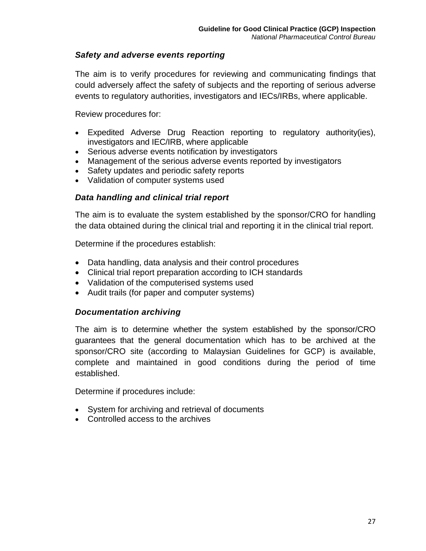#### *Safety and adverse events reporting*

The aim is to verify procedures for reviewing and communicating findings that could adversely affect the safety of subjects and the reporting of serious adverse events to regulatory authorities, investigators and IECs/IRBs, where applicable.

Review procedures for:

- Expedited Adverse Drug Reaction reporting to regulatory authority(ies), investigators and IEC/IRB, where applicable
- Serious adverse events notification by investigators
- Management of the serious adverse events reported by investigators
- Safety updates and periodic safety reports
- Validation of computer systems used

# *Data handling and clinical trial report*

The aim is to evaluate the system established by the sponsor/CRO for handling the data obtained during the clinical trial and reporting it in the clinical trial report.

Determine if the procedures establish:

- Data handling, data analysis and their control procedures
- Clinical trial report preparation according to ICH standards
- Validation of the computerised systems used
- Audit trails (for paper and computer systems)

#### *Documentation archiving*

The aim is to determine whether the system established by the sponsor/CRO guarantees that the general documentation which has to be archived at the sponsor/CRO site (according to Malaysian Guidelines for GCP) is available, complete and maintained in good conditions during the period of time established.

Determine if procedures include:

- System for archiving and retrieval of documents
- Controlled access to the archives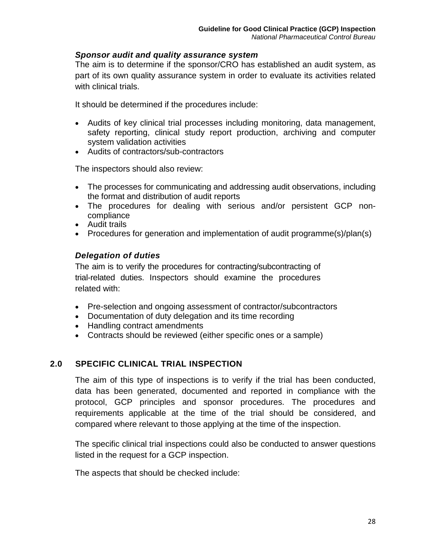#### *Sponsor audit and quality assurance system*

The aim is to determine if the sponsor/CRO has established an audit system, as part of its own quality assurance system in order to evaluate its activities related with clinical trials.

It should be determined if the procedures include:

- Audits of key clinical trial processes including monitoring, data management, safety reporting, clinical study report production, archiving and computer system validation activities
- Audits of contractors/sub-contractors

The inspectors should also review:

- The processes for communicating and addressing audit observations, including the format and distribution of audit reports
- The procedures for dealing with serious and/or persistent GCP noncompliance
- Audit trails
- Procedures for generation and implementation of audit programme(s)/plan(s)

#### *Delegation of duties*

The aim is to verify the procedures for contracting/subcontracting of trial-related duties. Inspectors should examine the procedures related with:

- Pre-selection and ongoing assessment of contractor/subcontractors
- Documentation of duty delegation and its time recording
- Handling contract amendments
- Contracts should be reviewed (either specific ones or a sample)

#### **2.0 SPECIFIC CLINICAL TRIAL INSPECTION**

The aim of this type of inspections is to verify if the trial has been conducted, data has been generated, documented and reported in compliance with the protocol, GCP principles and sponsor procedures. The procedures and requirements applicable at the time of the trial should be considered, and compared where relevant to those applying at the time of the inspection.

The specific clinical trial inspections could also be conducted to answer questions listed in the request for a GCP inspection.

The aspects that should be checked include: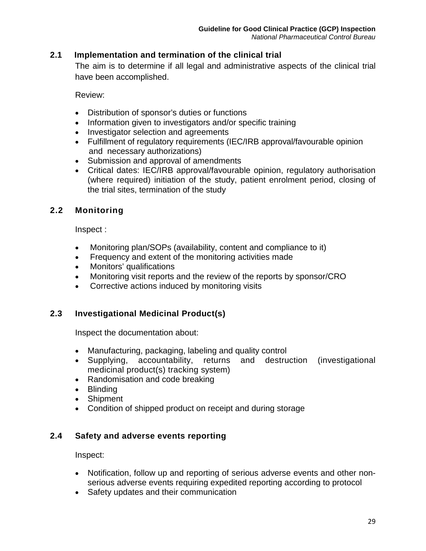# **2.1 Implementation and termination of the clinical trial**

The aim is to determine if all legal and administrative aspects of the clinical trial have been accomplished.

Review:

- Distribution of sponsor's duties or functions
- Information given to investigators and/or specific training
- Investigator selection and agreements
- Fulfillment of regulatory requirements (IEC/IRB approval/favourable opinion and necessary authorizations)
- Submission and approval of amendments
- Critical dates: IEC/IRB approval/favourable opinion, regulatory authorisation (where required) initiation of the study, patient enrolment period, closing of the trial sites, termination of the study

# **2.2 Monitoring**

Inspect :

- Monitoring plan/SOPs (availability, content and compliance to it)
- Frequency and extent of the monitoring activities made
- Monitors' qualifications
- Monitoring visit reports and the review of the reports by sponsor/CRO
- Corrective actions induced by monitoring visits

# **2.3 Investigational Medicinal Product(s)**

Inspect the documentation about:

- Manufacturing, packaging, labeling and quality control
- Supplying, accountability, returns and destruction (investigational medicinal product(s) tracking system)
- Randomisation and code breaking
- Blinding
- Shipment
- Condition of shipped product on receipt and during storage

#### **2.4 Safety and adverse events reporting**

Inspect:

- Notification, follow up and reporting of serious adverse events and other nonserious adverse events requiring expedited reporting according to protocol
- Safety updates and their communication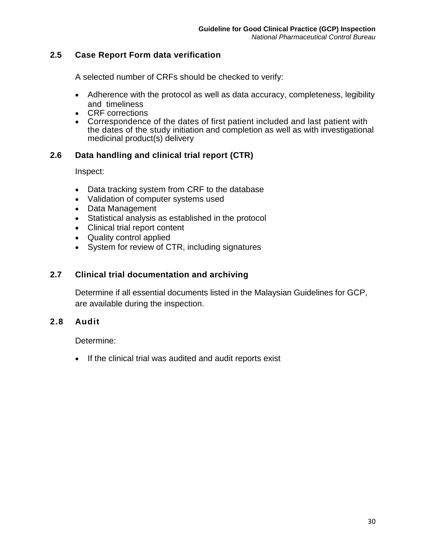#### **2.5 Case Report Form data verification**

A selected number of CRFs should be checked to verify:

- Adherence with the protocol as well as data accuracy, completeness, legibility and timeliness
- CRF corrections
- Correspondence of the dates of first patient included and last patient with the dates of the study initiation and completion as well as with investigational medicinal product(s) delivery

#### **2.6 Data handling and clinical trial report (CTR)**

Inspect:

- Data tracking system from CRF to the database
- Validation of computer systems used
- Data Management
- Statistical analysis as established in the protocol
- Clinical trial report content
- Quality control applied
- System for review of CTR, including signatures

#### **2.7 Clinical trial documentation and archiving**

Determine if all essential documents listed in the Malaysian Guidelines for GCP, are available during the inspection.

#### **2.8 Audit**

Determine:

• If the clinical trial was audited and audit reports exist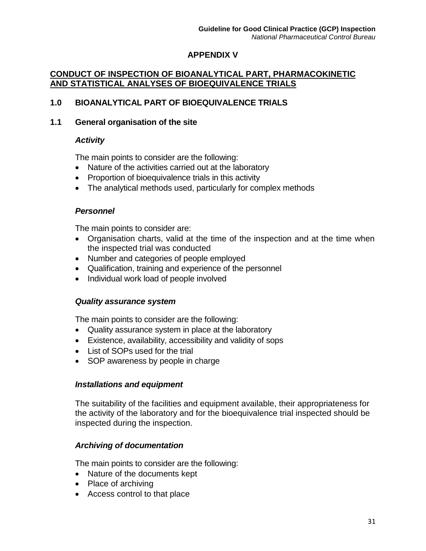# **APPENDIX V**

# **CONDUCT OF INSPECTION OF BIOANALYTICAL PART, PHARMACOKINETIC AND STATISTICAL ANALYSES OF BIOEQUIVALENCE TRIALS**

#### **1.0 BIOANALYTICAL PART OF BIOEQUIVALENCE TRIALS**

#### **1.1 General organisation of the site**

#### *Activity*

The main points to consider are the following:

- Nature of the activities carried out at the laboratory
- Proportion of bioequivalence trials in this activity
- The analytical methods used, particularly for complex methods

#### *Personnel*

The main points to consider are:

- Organisation charts, valid at the time of the inspection and at the time when the inspected trial was conducted
- Number and categories of people employed
- Qualification, training and experience of the personnel
- Individual work load of people involved

#### *Quality assurance system*

The main points to consider are the following:

- Quality assurance system in place at the laboratory
- Existence, availability, accessibility and validity of sops
- List of SOPs used for the trial
- SOP awareness by people in charge

#### *Installations and equipment*

The suitability of the facilities and equipment available, their appropriateness for the activity of the laboratory and for the bioequivalence trial inspected should be inspected during the inspection.

#### *Archiving of documentation*

The main points to consider are the following:

- Nature of the documents kept
- Place of archiving
- Access control to that place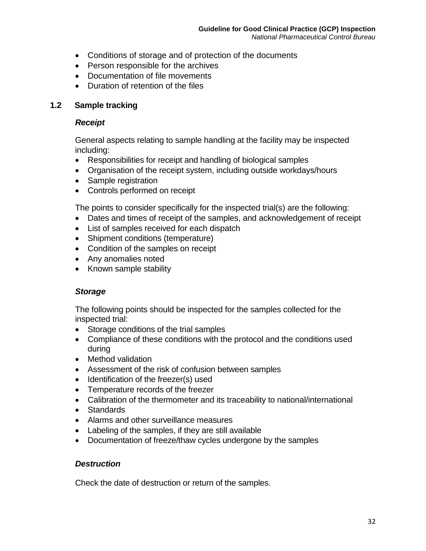- Conditions of storage and of protection of the documents
- Person responsible for the archives
- Documentation of file movements
- Duration of retention of the files

#### **1.2 Sample tracking**

#### *Receipt*

General aspects relating to sample handling at the facility may be inspected including:

- Responsibilities for receipt and handling of biological samples
- Organisation of the receipt system, including outside workdays/hours
- Sample registration
- Controls performed on receipt

The points to consider specifically for the inspected trial(s) are the following:

- Dates and times of receipt of the samples, and acknowledgement of receipt
- List of samples received for each dispatch
- Shipment conditions (temperature)
- Condition of the samples on receipt
- Any anomalies noted
- Known sample stability

#### *Storage*

The following points should be inspected for the samples collected for the inspected trial:

- Storage conditions of the trial samples
- Compliance of these conditions with the protocol and the conditions used during
- Method validation
- Assessment of the risk of confusion between samples
- Identification of the freezer(s) used
- Temperature records of the freezer
- Calibration of the thermometer and its traceability to national/international
- Standards
- Alarms and other surveillance measures
- Labeling of the samples, if they are still available
- Documentation of freeze/thaw cycles undergone by the samples

#### *Destruction*

Check the date of destruction or return of the samples.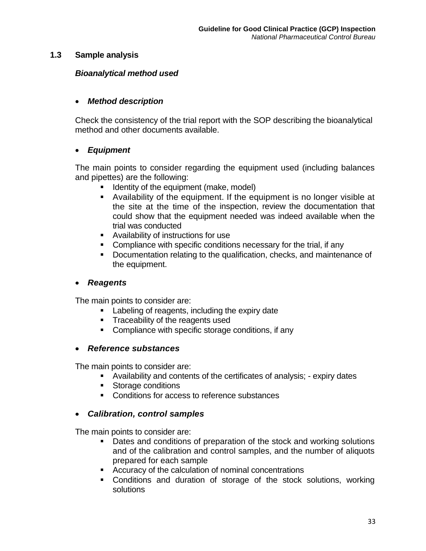#### **1.3 Sample analysis**

#### *Bioanalytical method used*

#### • *Method description*

Check the consistency of the trial report with the SOP describing the bioanalytical method and other documents available.

#### • *Equipment*

The main points to consider regarding the equipment used (including balances and pipettes) are the following:

- **If Identity of the equipment (make, model)**
- Availability of the equipment. If the equipment is no longer visible at the site at the time of the inspection, review the documentation that could show that the equipment needed was indeed available when the trial was conducted
- Availability of instructions for use
- Compliance with specific conditions necessary for the trial, if any
- Documentation relating to the qualification, checks, and maintenance of the equipment.

#### • *Reagents*

The main points to consider are:

- **Labeling of reagents, including the expiry date**
- **Traceability of the reagents used**
- **Compliance with specific storage conditions, if any**

#### • *Reference substances*

The main points to consider are:

- Availability and contents of the certificates of analysis; expiry dates
- **Storage conditions**
- **Conditions for access to reference substances**

#### • *Calibration, control samples*

The main points to consider are:

- Dates and conditions of preparation of the stock and working solutions and of the calibration and control samples, and the number of aliquots prepared for each sample
- **EXECUTER 12** Accuracy of the calculation of nominal concentrations
- Conditions and duration of storage of the stock solutions, working solutions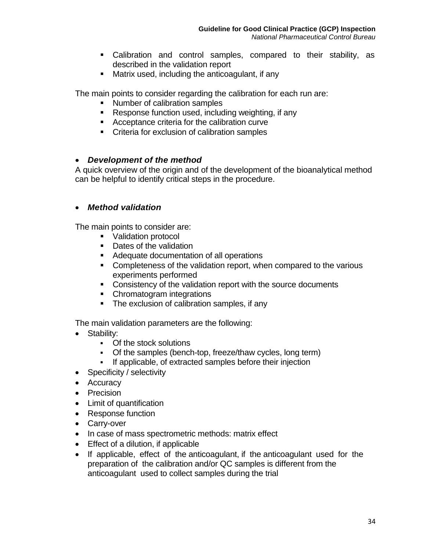- Calibration and control samples, compared to their stability, as described in the validation report
- Matrix used, including the anticoagulant, if any

The main points to consider regarding the calibration for each run are:

- **Number of calibration samples**
- Response function used, including weighting, if any
- Acceptance criteria for the calibration curve
- **Criteria for exclusion of calibration samples**

#### • *Development of the method*

A quick overview of the origin and of the development of the bioanalytical method can be helpful to identify critical steps in the procedure.

# • *Method validation*

The main points to consider are:

- Validation protocol
- Dates of the validation
- Adequate documentation of all operations
- Completeness of the validation report, when compared to the various experiments performed
- **EXECONSISTED CONSISTED VIOLET VIOLET CONSISTED VIOLET CONSISTENCE**
- Chromatogram integrations
- The exclusion of calibration samples, if any

The main validation parameters are the following:

- Stability:
	- Of the stock solutions
	- Of the samples (bench-top, freeze/thaw cycles, long term)
	- If applicable, of extracted samples before their injection
- Specificity / selectivity
- Accuracy
- Precision
- Limit of quantification
- Response function
- Carry-over
- In case of mass spectrometric methods: matrix effect
- Effect of a dilution, if applicable
- If applicable, effect of the anticoagulant, if the anticoagulant used for the preparation of the calibration and/or QC samples is different from the anticoagulant used to collect samples during the trial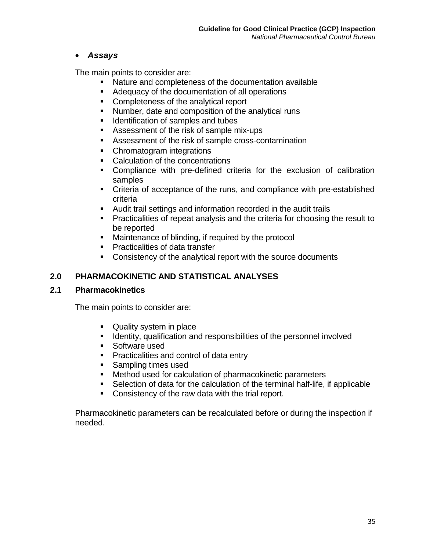# • *Assays*

The main points to consider are:

- Nature and completeness of the documentation available
- Adequacy of the documentation of all operations
- **Completeness of the analytical report**
- **Number, date and composition of the analytical runs**
- **IDENTIFICATE IN STRIPP IDENTIFICATE:** Internal and tubes
- Assessment of the risk of sample mix-ups
- Assessment of the risk of sample cross-contamination
- Chromatogram integrations
- Calculation of the concentrations
- Compliance with pre-defined criteria for the exclusion of calibration samples
- Criteria of acceptance of the runs, and compliance with pre-established criteria
- Audit trail settings and information recorded in the audit trails
- Practicalities of repeat analysis and the criteria for choosing the result to be reported
- **Maintenance of blinding, if required by the protocol**
- **Practicalities of data transfer**
- Consistency of the analytical report with the source documents

# **2.0 PHARMACOKINETIC AND STATISTICAL ANALYSES**

#### **2.1 Pharmacokinetics**

The main points to consider are:

- Quality system in place
- **If Identity, qualification and responsibilities of the personnel involved**
- **Software used**
- **Practicalities and control of data entry**
- Sampling times used
- **Method used for calculation of pharmacokinetic parameters**
- Selection of data for the calculation of the terminal half-life, if applicable
- **Consistency of the raw data with the trial report.**

Pharmacokinetic parameters can be recalculated before or during the inspection if needed.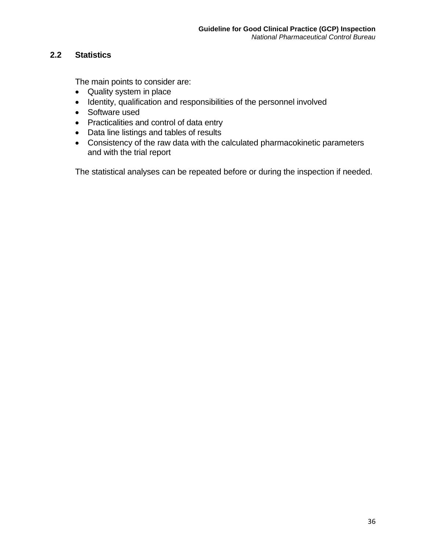# **2.2 Statistics**

The main points to consider are:

- Quality system in place
- Identity, qualification and responsibilities of the personnel involved
- Software used
- Practicalities and control of data entry
- Data line listings and tables of results
- Consistency of the raw data with the calculated pharmacokinetic parameters and with the trial report

The statistical analyses can be repeated before or during the inspection if needed.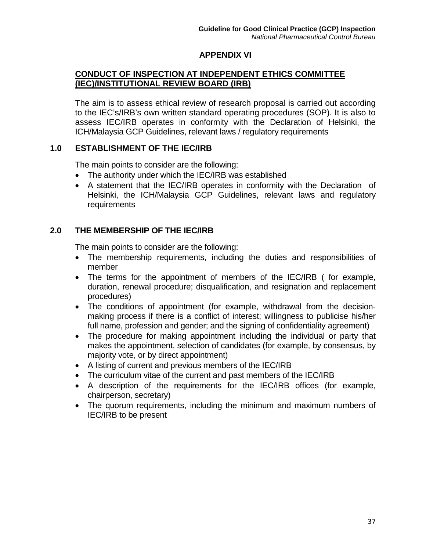# **APPENDIX VI**

# **CONDUCT OF INSPECTION AT INDEPENDENT ETHICS COMMITTEE (IEC)/INSTITUTIONAL REVIEW BOARD (IRB)**

The aim is to assess ethical review of research proposal is carried out according to the IEC's/IRB's own written standard operating procedures (SOP). It is also to assess IEC/IRB operates in conformity with the Declaration of Helsinki, the ICH/Malaysia GCP Guidelines, relevant laws / regulatory requirements

#### **1.0 ESTABLISHMENT OF THE IEC/IRB**

The main points to consider are the following:

- The authority under which the IEC/IRB was established
- A statement that the IEC/IRB operates in conformity with the Declaration of Helsinki, the ICH/Malaysia GCP Guidelines, relevant laws and regulatory requirements

# **2.0 THE MEMBERSHIP OF THE IEC/IRB**

The main points to consider are the following:

- The membership requirements, including the duties and responsibilities of member
- The terms for the appointment of members of the IEC/IRB ( for example, duration, renewal procedure; disqualification, and resignation and replacement procedures)
- The conditions of appointment (for example, withdrawal from the decisionmaking process if there is a conflict of interest; willingness to publicise his/her full name, profession and gender; and the signing of confidentiality agreement)
- The procedure for making appointment including the individual or party that makes the appointment, selection of candidates (for example, by consensus, by majority vote, or by direct appointment)
- A listing of current and previous members of the IEC/IRB
- The curriculum vitae of the current and past members of the IEC/IRB
- A description of the requirements for the IEC/IRB offices (for example, chairperson, secretary)
- The quorum requirements, including the minimum and maximum numbers of IEC/IRB to be present